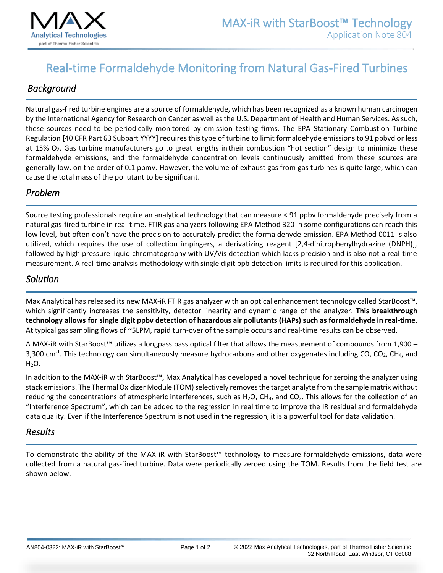

# Real-time Formaldehyde Monitoring from Natural Gas-Fired Turbines

## *Background*

Natural gas-fired turbine engines are a source of formaldehyde, which has been recognized as a known human carcinogen by the International Agency for Research on Cancer as well asthe U.S. Department of Health and Human Services. As such, these sources need to be periodically monitored by emission testing firms. The EPA Stationary Combustion Turbine Regulation [40 CFR Part 63 Subpart YYYY] requires this type of turbine to limit formaldehyde emissions to 91 ppbvd or less at 15% O<sub>2</sub>. Gas turbine manufacturers go to great lengths in their combustion "hot section" design to minimize these formaldehyde emissions, and the formaldehyde concentration levels continuously emitted from these sources are generally low, on the order of 0.1 ppmv. However, the volume of exhaust gas from gas turbines is quite large, which can cause the total mass of the pollutant to be significant.

#### *Problem*

Source testing professionals require an analytical technology that can measure < 91 ppbv formaldehyde precisely from a natural gas-fired turbine in real-time. FTIR gas analyzers following EPA Method 320 in some configurations can reach this low level, but often don't have the precision to accurately predict the formaldehyde emission. EPA Method 0011 is also utilized, which requires the use of collection impingers, a derivatizing reagent [2,4-dinitrophenylhydrazine (DNPH)], followed by high pressure liquid chromatography with UV/Vis detection which lacks precision and is also not a real-time measurement. A real-time analysis methodology with single digit ppb detection limits is required for this application.

#### *Solution*

Max Analytical has released its new MAX-iR FTIR gas analyzer with an optical enhancement technology called StarBoost™, which significantly increases the sensitivity, detector linearity and dynamic range of the analyzer. **This breakthrough technology allows for single digit ppbv detection of hazardous air pollutants (HAPs) such as formaldehyde in real-time.** At typical gas sampling flows of ~5LPM, rapid turn-over of the sample occurs and real-time results can be observed.

A MAX-iR with StarBoost™ utilizes a longpass pass optical filter that allows the measurement of compounds from 1,900 – 3,300 cm<sup>-1</sup>. This technology can simultaneously measure hydrocarbons and other oxygenates including CO, CO<sub>2</sub>, CH<sub>4</sub>, and  $H<sub>2</sub>O$ .

In addition to the MAX-iR with StarBoost™, Max Analytical has developed a novel technique for zeroing the analyzer using stack emissions. The Thermal Oxidizer Module (TOM) selectively removes the target analyte from the sample matrix without reducing the concentrations of atmospheric interferences, such as  $H_2O$ , CH<sub>4</sub>, and CO<sub>2</sub>. This allows for the collection of an "Interference Spectrum", which can be added to the regression in real time to improve the IR residual and formaldehyde data quality. Even if the Interference Spectrum is not used in the regression, it is a powerful tool for data validation.

#### *Results*

To demonstrate the ability of the MAX-iR with StarBoost™ technology to measure formaldehyde emissions, data were collected from a natural gas-fired turbine. Data were periodically zeroed using the TOM. Results from the field test are shown below.